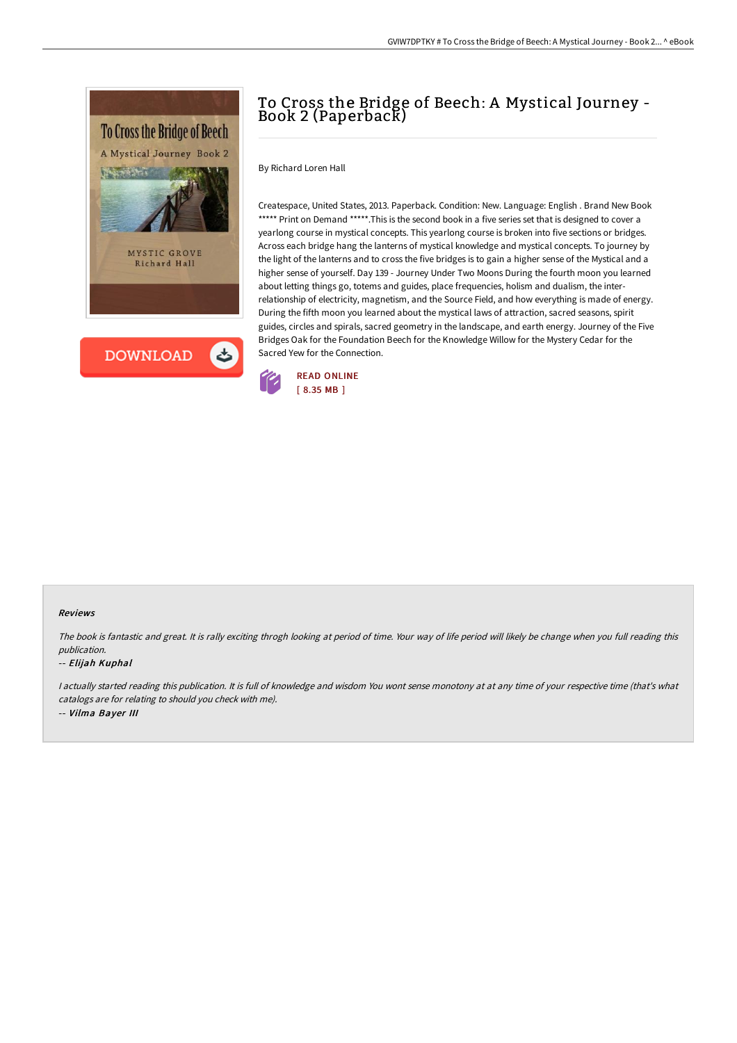



## To Cross the Bridge of Beech: A Mystical Journey - Book 2 (Paperback)

By Richard Loren Hall

Createspace, United States, 2013. Paperback. Condition: New. Language: English . Brand New Book \*\*\*\*\* Print on Demand \*\*\*\*\*. This is the second book in a five series set that is designed to cover a yearlong course in mystical concepts. This yearlong course is broken into five sections or bridges. Across each bridge hang the lanterns of mystical knowledge and mystical concepts. To journey by the light of the lanterns and to cross the five bridges is to gain a higher sense of the Mystical and a higher sense of yourself. Day 139 - Journey Under Two Moons During the fourth moon you learned about letting things go, totems and guides, place frequencies, holism and dualism, the interrelationship of electricity, magnetism, and the Source Field, and how everything is made of energy. During the fifth moon you learned about the mystical laws of attraction, sacred seasons, spirit guides, circles and spirals, sacred geometry in the landscape, and earth energy. Journey of the Five Bridges Oak for the Foundation Beech for the Knowledge Willow for the Mystery Cedar for the Sacred Yew for the Connection.



## Reviews

The book is fantastic and great. It is rally exciting throgh looking at period of time. Your way of life period will likely be change when you full reading this publication.

## -- Elijah Kuphal

I actually started reading this publication. It is full of knowledge and wisdom You wont sense monotony at at any time of your respective time (that's what catalogs are for relating to should you check with me). -- Vilma Bayer III